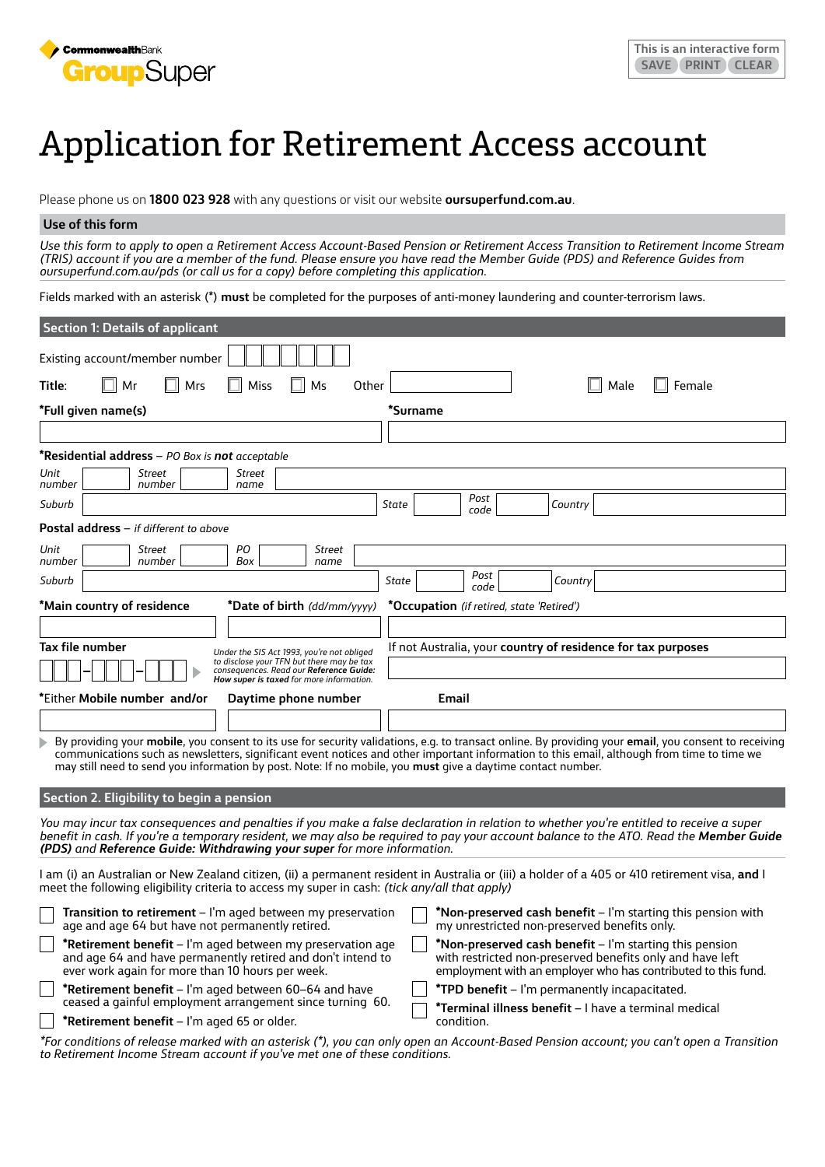

# Application for Retirement Access account

Please phone us on **1800 023 928** with any questions or visit our website **oursuperfund.com.au**.

# **Use of this form**

*Use this form to apply to open a Retirement Access Account-Based Pension or Retirement Access Transition to Retirement Income Stream (TRIS) account if you are a member of the fund. Please ensure you have read the Member Guide (PDS) and Reference Guides from oursuperfund.com.au/pds (or call us for a copy) before completing this application.*

Fields marked with an asterisk (\*) **must** be completed for the purposes of anti-money laundering and counter-terrorism laws.

| <b>Section 1: Details of applicant</b>                                                                                                                                        |                                                                                                                                                                                                                                                                                                     |
|-------------------------------------------------------------------------------------------------------------------------------------------------------------------------------|-----------------------------------------------------------------------------------------------------------------------------------------------------------------------------------------------------------------------------------------------------------------------------------------------------|
| Existing account/member number                                                                                                                                                |                                                                                                                                                                                                                                                                                                     |
| Mrs<br>Miss<br>Title:<br>Mr<br>Ms<br>Other                                                                                                                                    | Male<br>Female                                                                                                                                                                                                                                                                                      |
| *Full given name(s)                                                                                                                                                           | *Surname                                                                                                                                                                                                                                                                                            |
|                                                                                                                                                                               |                                                                                                                                                                                                                                                                                                     |
| *Residential address - PO Box is not acceptable                                                                                                                               |                                                                                                                                                                                                                                                                                                     |
| Unit<br><b>Street</b><br>Street<br>number<br>number<br>name                                                                                                                   |                                                                                                                                                                                                                                                                                                     |
| Suburb                                                                                                                                                                        | Post<br>State<br>Country<br>code                                                                                                                                                                                                                                                                    |
| <b>Postal address</b> – if different to above                                                                                                                                 |                                                                                                                                                                                                                                                                                                     |
| PO<br>Unit<br>Street<br>Street<br>number<br>number<br>Box                                                                                                                     |                                                                                                                                                                                                                                                                                                     |
| name<br>Suburb                                                                                                                                                                | Post<br>State<br>Country                                                                                                                                                                                                                                                                            |
| *Main country of residence<br>*Date of birth (dd/mm/yyyy)                                                                                                                     | code<br><i>*Occupation (if retired, state 'Retired')</i>                                                                                                                                                                                                                                            |
|                                                                                                                                                                               |                                                                                                                                                                                                                                                                                                     |
| Tax file number<br>Under the SIS Act 1993, you're not obliged                                                                                                                 | If not Australia, your country of residence for tax purposes                                                                                                                                                                                                                                        |
| to disclose your TFN but there may be tax<br>consequences. Read our Reference Guide:<br>How super is taxed for more information.                                              |                                                                                                                                                                                                                                                                                                     |
| *Either Mobile number and/or<br>Daytime phone number                                                                                                                          | Email                                                                                                                                                                                                                                                                                               |
|                                                                                                                                                                               |                                                                                                                                                                                                                                                                                                     |
| may still need to send you information by post. Note: If no mobile, you must give a daytime contact number.                                                                   | By providing your mobile, you consent to its use for security validations, e.g. to transact online. By providing your email, you consent to receiving<br>communications such as newsletters, significant event notices and other important information to this email, although from time to time we |
| Section 2. Eligibility to begin a pension                                                                                                                                     |                                                                                                                                                                                                                                                                                                     |
| (PDS) and Reference Guide: Withdrawing your super for more information.                                                                                                       | You may incur tax consequences and penalties if you make a false declaration in relation to whether you're entitled to receive a super<br>benefit in cash. If you're a temporary resident, we may also be required to pay your account balance to the ATO. Read the Member Guide                    |
| meet the following eligibility criteria to access my super in cash: (tick any/all that apply)                                                                                 | I am (i) an Australian or New Zealand citizen, (ii) a permanent resident in Australia or (iii) a holder of a 405 or 410 retirement visa, a <b>nd</b> I                                                                                                                                              |
| <b>Transition to retirement</b> $-$ I'm aged between my preservation<br>age and age 64 but have not permanently retired.                                                      | *Non-preserved cash benefit – I'm starting this pension with<br>my unrestricted non-preserved benefits only.                                                                                                                                                                                        |
| *Retirement benefit - I'm aged between my preservation age<br>and age 64 and have permanently retired and don't intend to<br>ever work again for more than 10 hours per week. | *Non-preserved cash benefit - I'm starting this pension<br>with restricted non-preserved benefits only and have left<br>employment with an employer who has contributed to this fund.                                                                                                               |
| *Retirement benefit - I'm aged between 60-64 and have                                                                                                                         | *TPD benefit - I'm permanently incapacitated.                                                                                                                                                                                                                                                       |
| ceased a gainful employment arrangement since turning 60.<br>*Retirement benefit - I'm aged 65 or older.                                                                      | *Terminal illness benefit - I have a terminal medical<br>condition.                                                                                                                                                                                                                                 |
|                                                                                                                                                                               |                                                                                                                                                                                                                                                                                                     |

*\*For conditions of release marked with an asterisk (\*), you can only open an Account-Based Pension account; you can't open a Transition to Retirement Income Stream account if you've met one of these conditions.*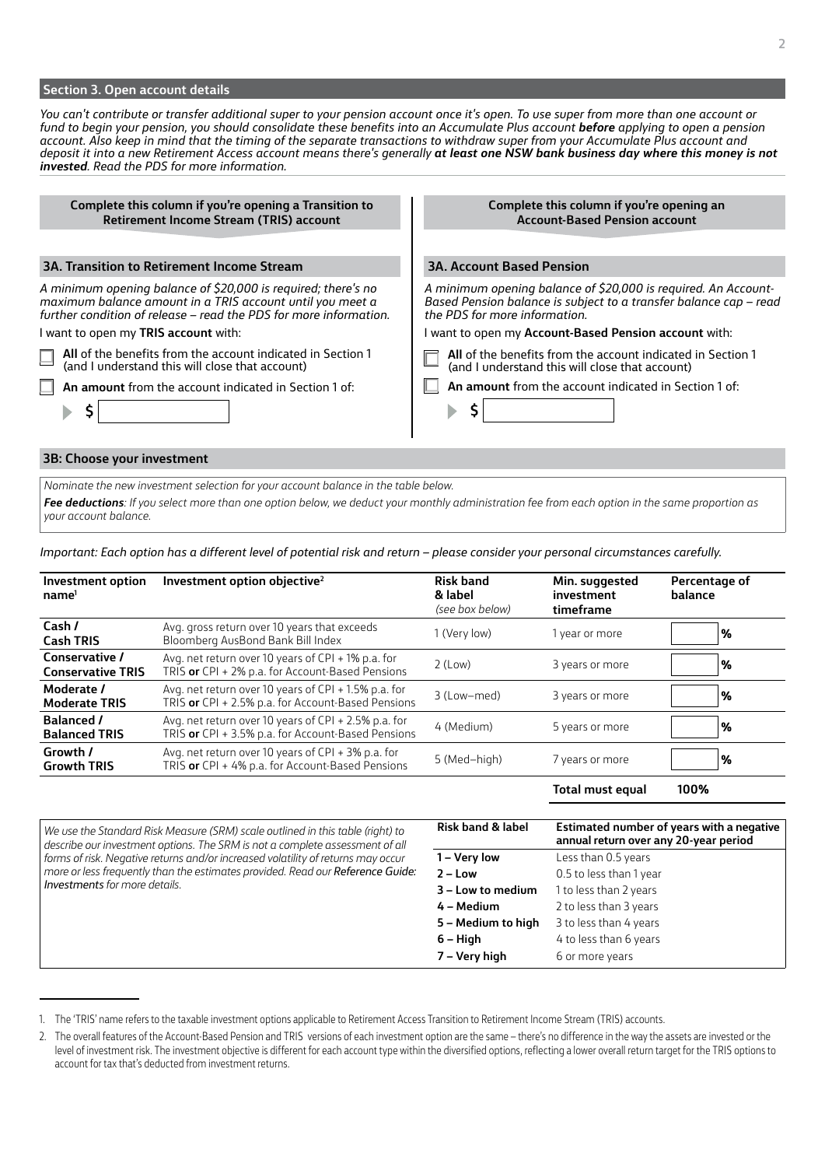#### **Section 3. Open account details**

*You can't contribute or transfer additional super to your pension account once it's open. To use super from more than one account or fund to begin your pension, you should consolidate these benefits into an Accumulate Plus account before applying to open a pension account. Also keep in mind that the timing of the separate transactions to withdraw super from your Accumulate Plus account and deposit it into a new Retirement Access account means there's generally at least one NSW bank business day where this money is not invested. Read the PDS for more information.* 

**Complete this column if you're opening a Transition to Retirement Income Stream (TRIS) account**

## **3A. Transition to Retirement Income Stream**

*A minimum opening balance of \$20,000 is required; there's no maximum balance amount in a TRIS account until you meet a further condition of release – read the PDS for more information.*

I want to open my **TRIS account** with:



**An amount** from the account indicated in Section 1 of:

**Complete this column if you're opening an Account-Based Pension account 3A. Account Based Pension**

*A minimum opening balance of \$20,000 is required. An Account-Based Pension balance is subject to a transfer balance cap – read the PDS for more information.*

I want to open my **Account-Based Pension account** with:

**All** of the benefits from the account indicated in Section 1 (and I understand this will close that account)

**An amount** from the account indicated in Section 1 of:

#### **3B: Choose your investment**

**\$**

*Nominate the new investment selection for your account balance in the table below.* 

*Fee deductions: If you select more than one option below, we deduct your monthly administration fee from each option in the same proportion as your account balance.*

**\$**

*Important: Each option has a different level of potential risk and return – please consider your personal circumstances carefully.*

| Investment option<br>name <sup>1</sup>     | Investment option objective <sup>2</sup>                                                                   | <b>Risk band</b><br>& label<br>(see box below) | Min. suggested<br>investment<br>timeframe | Percentage of<br>balance |
|--------------------------------------------|------------------------------------------------------------------------------------------------------------|------------------------------------------------|-------------------------------------------|--------------------------|
| Cash /<br><b>Cash TRIS</b>                 | Avg. gross return over 10 years that exceeds<br>Bloomberg AusBond Bank Bill Index                          | 1 (Very low)                                   | year or more                              | '%                       |
| Conservative /<br><b>Conservative TRIS</b> | Avg. net return over 10 years of CPI + 1% p.a. for<br>TRIS or CPI + 2% p.a. for Account-Based Pensions     | 2 (Low)                                        | 3 years or more                           | %                        |
| Moderate /<br><b>Moderate TRIS</b>         | Avg. net return over 10 years of CPI + 1.5% p.a. for<br>TRIS or CPI + 2.5% p.a. for Account-Based Pensions | 3 (Low-med)                                    | 3 years or more                           | $\%$                     |
| <b>Balanced /</b><br><b>Balanced TRIS</b>  | Avg. net return over 10 years of CPI + 2.5% p.a. for<br>TRIS or CPI + 3.5% p.a. for Account-Based Pensions | 4 (Medium)                                     | 5 years or more                           | $\%$                     |
| Growth /<br><b>Growth TRIS</b>             | Avg. net return over 10 years of CPI + 3% p.a. for<br>TRIS or CPI + 4% p.a. for Account-Based Pensions     | 5 (Med-high)                                   | 7 years or more                           | %                        |

**Total must equal 100%**

*We use the Standard Risk Measure (SRM) scale outlined in this table (right) to describe our investment options. The SRM is not a complete assessment of all forms of risk. Negative returns and/or increased volatility of returns may occur more or less frequently than the estimates provided. Read our Reference Guide: Investments for more details.*

| <b>Risk band &amp; label</b><br>Estimated number of years with a negative<br>annual return over any 20-year period<br>Less than 0.5 years<br>1 – Very low<br>$2 - Low$<br>0.5 to less than 1 year<br>1 to less than 2 years<br>3 – Low to medium<br>2 to less than 3 years<br>4 – Medium<br>3 to less than 4 years<br>5 - Medium to high<br>4 to less than 6 years<br>$6 - High$ |               |                 |
|----------------------------------------------------------------------------------------------------------------------------------------------------------------------------------------------------------------------------------------------------------------------------------------------------------------------------------------------------------------------------------|---------------|-----------------|
|                                                                                                                                                                                                                                                                                                                                                                                  |               |                 |
|                                                                                                                                                                                                                                                                                                                                                                                  |               |                 |
|                                                                                                                                                                                                                                                                                                                                                                                  |               |                 |
|                                                                                                                                                                                                                                                                                                                                                                                  |               |                 |
|                                                                                                                                                                                                                                                                                                                                                                                  |               |                 |
|                                                                                                                                                                                                                                                                                                                                                                                  |               |                 |
|                                                                                                                                                                                                                                                                                                                                                                                  |               |                 |
|                                                                                                                                                                                                                                                                                                                                                                                  | 7 – Very high | 6 or more years |

<sup>1.</sup> The 'TRIS' name refers to the taxable investment options applicable to Retirement Access Transition to Retirement Income Stream (TRIS) accounts.

<sup>2.</sup> The overall features of the Account-Based Pension and TRIS versions of each investment option are the same – there's no difference in the way the assets are invested or the level of investment risk. The investment objective is different for each account type within the diversified options, reflecting a lower overall return target for the TRIS options to account for tax that's deducted from investment returns.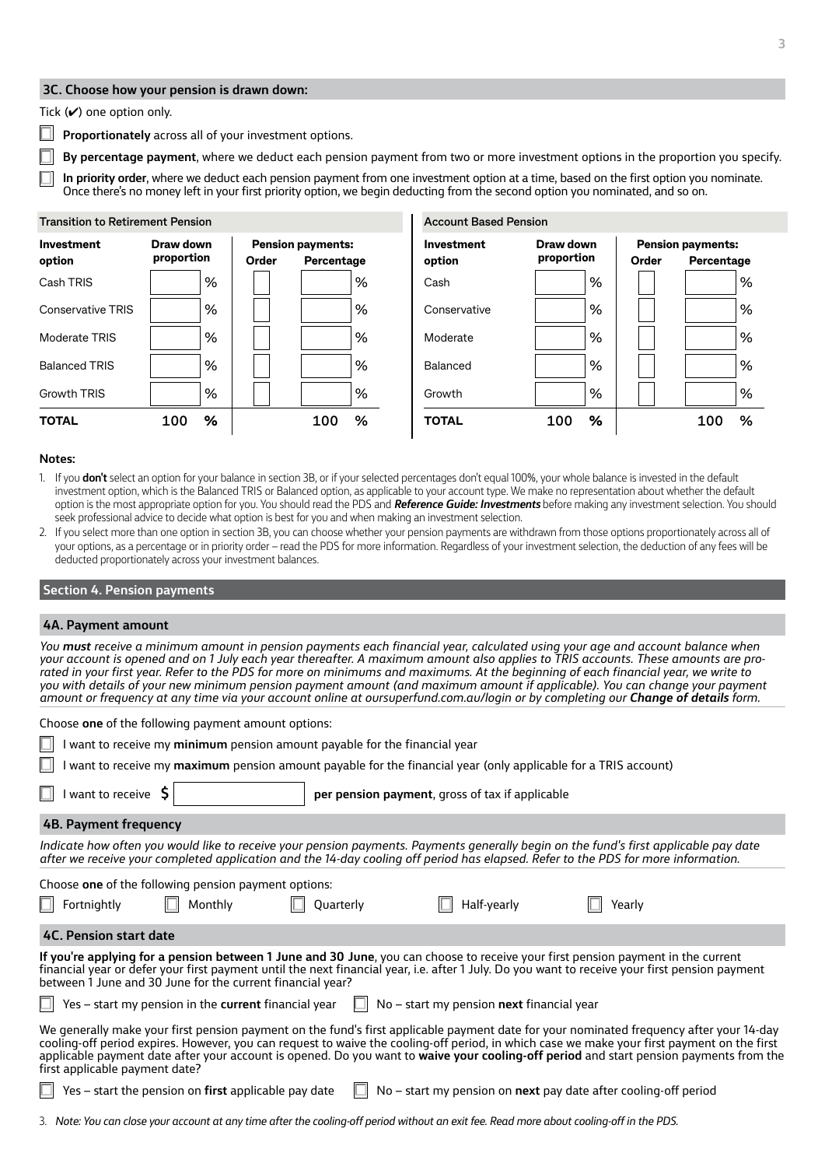# **3C. Choose how your pension is drawn down:**

## Tick  $(V)$  one option only.

**Proportionately** across all of your investment options.

**By percentage payment**, where we deduct each pension payment from two or more investment options in the proportion you specify.

**Account Based Pension**

**In priority order**, where we deduct each pension payment from one investment option at a time, based on the first option you nominate. Once there's no money left in your first priority option, we begin deducting from the second option you nominated, and so on.

## **Transition to Retirement Pension**



#### **Notes:**

- 1. If you **don't** select an option for your balance in section 3B, or if your selected percentages don't equal 100%, your whole balance is invested in the default investment option, which is the Balanced TRIS or Balanced option, as applicable to your account type. We make no representation about whether the default option is the most appropriate option for you. You should read the PDS and *Reference Guide: Investments* before making any investment selection. You should seek professional advice to decide what option is best for you and when making an investment selection.
- 2. If you select more than one option in section 3B, you can choose whether your pension payments are withdrawn from those options proportionately across all of your options, as a percentage or in priority order – read the PDS for more information. Regardless of your investment selection, the deduction of any fees will be deducted proportionately across your investment balances.

#### **Section 4. Pension payments**

#### **4A. Payment amount**

*You must receive a minimum amount in pension payments each financial year, calculated using your age and account balance when your account is opened and on 1 July each year thereafter. A maximum amount also applies to TRIS accounts. These amounts are prorated in your first year. Refer to the PDS for more on minimums and maximums. At the beginning of each financial year, we write to you with details of your new minimum pension payment amount (and maximum amount if applicable). You can change your payment amount or frequency at any time via your account online at oursuperfund.com.au/login or by completing our Change of details form.*

| Choose one of the following payment amount options:<br>$\Box$<br>want to receive my minimum pension amount payable for the financial year<br>ப<br>want to receive my maximum pension amount payable for the financial year (only applicable for a TRIS account)<br>per pension payment, gross of tax if applicable                                                                                                                                                 |                                                      |           |             |                                                                 |
|--------------------------------------------------------------------------------------------------------------------------------------------------------------------------------------------------------------------------------------------------------------------------------------------------------------------------------------------------------------------------------------------------------------------------------------------------------------------|------------------------------------------------------|-----------|-------------|-----------------------------------------------------------------|
| $\Box$<br>I want to receive $\mathsf{S}$                                                                                                                                                                                                                                                                                                                                                                                                                           |                                                      |           |             |                                                                 |
| 4B. Payment frequency                                                                                                                                                                                                                                                                                                                                                                                                                                              |                                                      |           |             |                                                                 |
| Indicate how often you would like to receive your pension payments. Payments generally begin on the fund's first applicable pay date<br>after we receive your completed application and the 14-day cooling off period has elapsed. Refer to the PDS for more information.                                                                                                                                                                                          |                                                      |           |             |                                                                 |
|                                                                                                                                                                                                                                                                                                                                                                                                                                                                    | Choose one of the following pension payment options: |           |             |                                                                 |
| $\Box$<br>Fortnightly                                                                                                                                                                                                                                                                                                                                                                                                                                              | Monthly                                              | Quarterly | Half-yearly | Yearly                                                          |
| 4C. Pension start date                                                                                                                                                                                                                                                                                                                                                                                                                                             |                                                      |           |             |                                                                 |
| If you're applying for a pension between 1 June and 30 June, you can choose to receive your first pension payment in the current<br>financial year or defer your first payment until the next financial year, i.e. after 1 July. Do you want to receive your first pension payment<br>between 1 June and 30 June for the current financial year?                                                                                                                   |                                                      |           |             |                                                                 |
| Yes - start my pension in the current financial year<br>No - start my pension next financial year                                                                                                                                                                                                                                                                                                                                                                  |                                                      |           |             |                                                                 |
| We generally make your first pension payment on the fund's first applicable payment date for your nominated frequency after your 14-day<br>cooling-off period expires. However, you can request to waive the cooling-off period, in which case we make your first payment on the first<br>applicable payment date after your account is opened. Do you want to waive your cooling-off period and start pension payments from the<br>first applicable payment date? |                                                      |           |             |                                                                 |
|                                                                                                                                                                                                                                                                                                                                                                                                                                                                    | Yes - start the pension on first applicable pay date |           |             | No - start my pension on next pay date after cooling-off period |

3. *Note: You can close your account at any time after the cooling-off period without an exit fee. Read more about cooling-off in the PDS.*